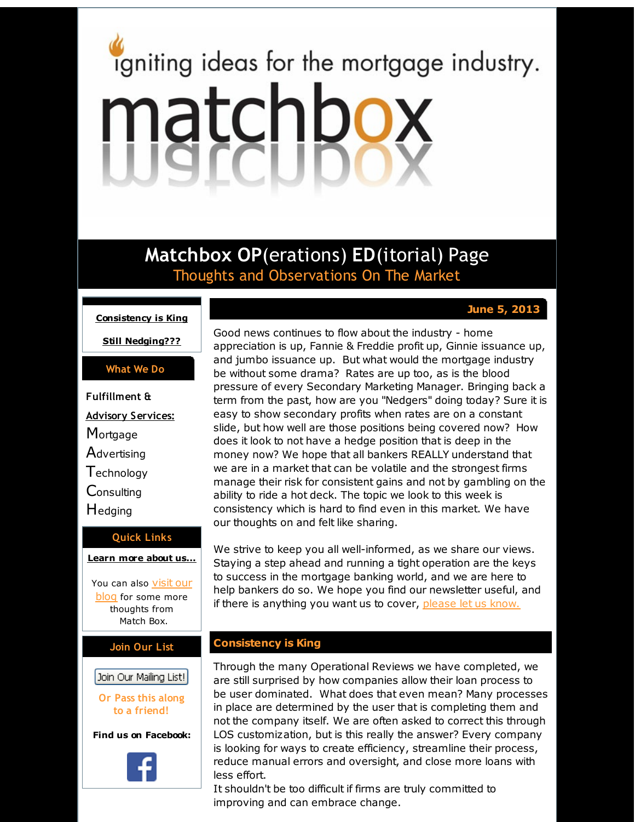# <span id="page-0-0"></span>igniting ideas for the mortgage industry. matchbox

**Matchbox OP**(erations) **ED**(itorial) Page Thoughts and Observations On The Market

## **June 5, 2013**

**[Consistency](#page-0-0) is King**

**Still [Nedging???](#page-0-0)**

### **What We Do**

**Fulfillment & Advisory Services: Mortgage Advertising Technology Consulting H**edging

### **Quick Links**

**[Learn](http://r20.rs6.net/tn.jsp?f=001qJByS7ECS2c5Ma7cRf0cJ2s7WcCpBty3quDHBJG5r-LMyadL4TvOu8incCcZ1jc9sqrTVtrPSgEto0rASBUJwCjpJe8GA_xSsgmOawWTOuuAGruoC350RnUoQJTRi8V5MyY0h2bOUfkSI7BzQzUxjZ-f5lsvywg8n2C1Nagt25UoxRyNvYluVQ==&c=&ch=) more about u[s...](http://r20.rs6.net/tn.jsp?f=001qJByS7ECS2c5Ma7cRf0cJ2s7WcCpBty3quDHBJG5r-LMyadL4TvOu8incCcZ1jc9sqrTVtrPSgEto0rASBUJwCjpJe8GA_xSsgmOawWTOuuAGruoC350RnUoQJTRi8V5MyY0h2bOUfkSI7BzQzUxjZ-f5lsvywg8n2C1Nagt25UoxRyNvYluVQ==&c=&ch=)**

You can also visit our [blog](http://r20.rs6.net/tn.jsp?f=001qJByS7ECS2c5Ma7cRf0cJ2s7WcCpBty3quDHBJG5r-LMyadL4TvOuyRovutHfPcTa4dqueSiw5H9Dtq7IIa5h8YF-tW-aEa5rjHvcsL-8jgIPOJ_w43wxJaax4eVyi5z8dcHjXJSR5IMhSsKGBrlOGMy_ffrO4iQ6z27Ma-epswz3DODiwdj5UtosQZyxf8A&c=&ch=) for some more thoughts from Match Box.

### **Join Our List**

Join Our Mailing List!

**Or Pass this along to a friend!**

**Find us on Facebook:**



Good news continues to flow about the industry - home appreciation is up, Fannie & Freddie profit up, Ginnie issuance up, and jumbo issuance up. But what would the mortgage industry be without some drama? Rates are up too, as is the blood pressure of every Secondary Marketing Manager. Bringing back a term from the past, how are you "Nedgers" doing today? Sure it is easy to show secondary profits when rates are on a constant slide, but how well are those positions being covered now? How does it look to not have a hedge position that is deep in the money now? We hope that all bankers REALLY understand that we are in a market that can be volatile and the strongest firms manage their risk for consistent gains and not by gambling on the ability to ride a hot deck. The topic we look to this week is consistency which is hard to find even in this market. We have our thoughts on and felt like sharing.

We strive to keep you all well-informed, as we share our views. Staying a step ahead and running a tight operation are the keys to success in the mortgage banking world, and we are here to help bankers do so. We hope you find our newsletter useful, and if there is anything you want us to cover, [please](http://r20.rs6.net/tn.jsp?f=001qJByS7ECS2c5Ma7cRf0cJ2s7WcCpBty3quDHBJG5r-LMyadL4TvOuyRovutHfPcTRYUvmFLHnqOxRQ_madazTb86wcvSQdFJyO9Yi8b12XVuEP7HlkzBYzH2tEII_lwZAEgY7Q7jYgVHeeKoecORS3dylUVrtwIlHir7GFEVPDNQpLspqEz-AB8EcgURZ89d&c=&ch=) let us know.

# **Consistency is King**

Through the many Operational Reviews we have completed, we are still surprised by how companies allow their loan process to be user dominated. What does that even mean? Many processes in place are determined by the user that is completing them and not the company itself. We are often asked to correct this through LOS customization, but is this really the answer? Every company is looking for ways to create efficiency, streamline their process, reduce manual errors and oversight, and close more loans with less effort.

It shouldn't be too difficult if firms are truly committed to improving and can embrace change.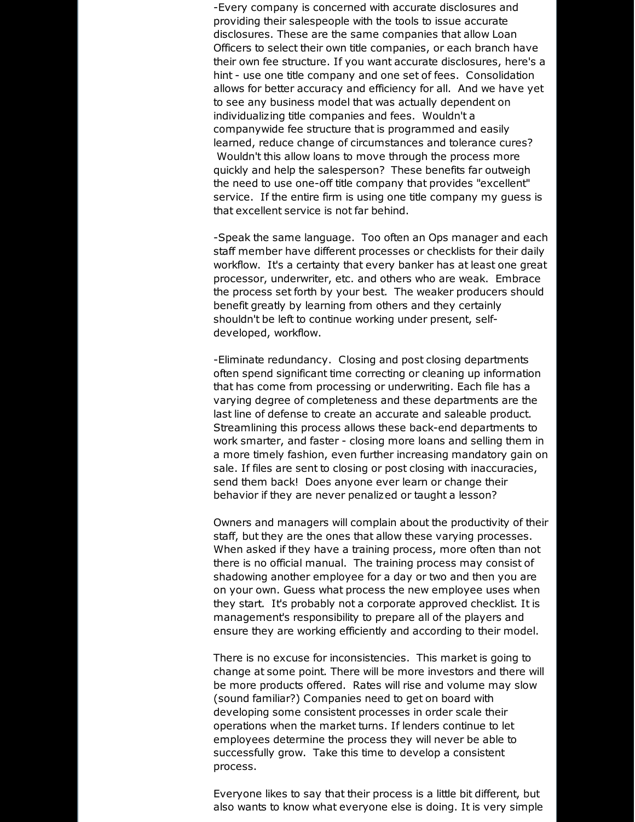-Every company is concerned with accurate disclosures and providing their salespeople with the tools to issue accurate disclosures. These are the same companies that allow Loan Officers to select their own title companies, or each branch have their own fee structure. If you want accurate disclosures, here's a hint - use one title company and one set of fees. Consolidation allows for better accuracy and efficiency for all. And we have yet to see any business model that was actually dependent on individualizing title companies and fees. Wouldn't a companywide fee structure that is programmed and easily learned, reduce change of circumstances and tolerance cures? Wouldn't this allow loans to move through the process more quickly and help the salesperson? These benefits far outweigh the need to use one-off title company that provides "excellent" service. If the entire firm is using one title company my guess is that excellent service is not far behind.

-Speak the same language. Too often an Ops manager and each staff member have different processes or checklists for their daily workflow. It's a certainty that every banker has at least one great processor, underwriter, etc. and others who are weak. Embrace the process set forth by your best. The weaker producers should benefit greatly by learning from others and they certainly shouldn't be left to continue working under present, selfdeveloped, workflow.

-Eliminate redundancy. Closing and post closing departments often spend significant time correcting or cleaning up information that has come from processing or underwriting. Each file has a varying degree of completeness and these departments are the last line of defense to create an accurate and saleable product. Streamlining this process allows these back-end departments to work smarter, and faster - closing more loans and selling them in a more timely fashion, even further increasing mandatory gain on sale. If files are sent to closing or post closing with inaccuracies, send them back! Does anyone ever learn or change their behavior if they are never penalized or taught a lesson?

Owners and managers will complain about the productivity of their staff, but they are the ones that allow these varying processes. When asked if they have a training process, more often than not there is no official manual. The training process may consist of shadowing another employee for a day or two and then you are on your own. Guess what process the new employee uses when they start. It's probably not a corporate approved checklist. It is management's responsibility to prepare all of the players and ensure they are working efficiently and according to their model.

There is no excuse for inconsistencies. This market is going to change at some point. There will be more investors and there will be more products offered. Rates will rise and volume may slow (sound familiar?) Companies need to get on board with developing some consistent processes in order scale their operations when the market turns. If lenders continue to let employees determine the process they will never be able to successfully grow. Take this time to develop a consistent process.

Everyone likes to say that their process is a little bit different, but also wants to know what everyone else is doing. It is very simple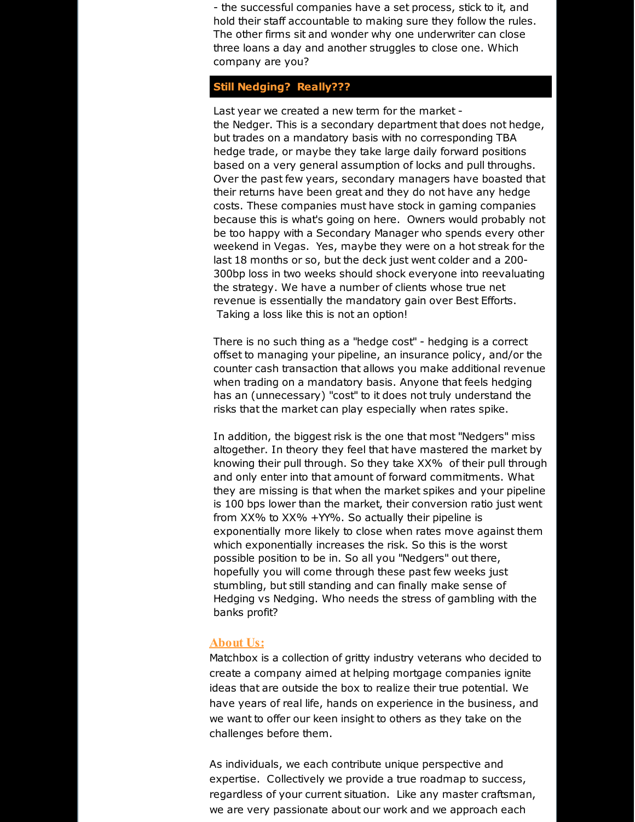- the successful companies have a set process, stick to it, and hold their staff accountable to making sure they follow the rules. The other firms sit and wonder why one underwriter can close three loans a day and another struggles to close one. Which company are you?

### **Still Nedging? Really???**

Last year we created a new term for the market the Nedger. This is a secondary department that does not hedge, but trades on a mandatory basis with no corresponding TBA hedge trade, or maybe they take large daily forward positions based on a very general assumption of locks and pull throughs. Over the past few years, secondary managers have boasted that their returns have been great and they do not have any hedge costs. These companies must have stock in gaming companies because this is what's going on here. Owners would probably not be too happy with a Secondary Manager who spends every other weekend in Vegas. Yes, maybe they were on a hot streak for the last 18 months or so, but the deck just went colder and a 200- 300bp loss in two weeks should shock everyone into reevaluating the strategy. We have a number of clients whose true net revenue is essentially the mandatory gain over Best Efforts. Taking a loss like this is not an option!

There is no such thing as a "hedge cost" - hedging is a correct offset to managing your pipeline, an insurance policy, and/or the counter cash transaction that allows you make additional revenue when trading on a mandatory basis. Anyone that feels hedging has an (unnecessary) "cost" to it does not truly understand the risks that the market can play especially when rates spike.

In addition, the biggest risk is the one that most "Nedgers" miss altogether. In theory they feel that have mastered the market by knowing their pull through. So they take XX% of their pull through and only enter into that amount of forward commitments. What they are missing is that when the market spikes and your pipeline is 100 bps lower than the market, their conversion ratio just went from XX% to XX% +YY%. So actually their pipeline is exponentially more likely to close when rates move against them which exponentially increases the risk. So this is the worst possible position to be in. So all you "Nedgers" out there, hopefully you will come through these past few weeks just stumbling, but still standing and can finally make sense of Hedging vs Nedging. Who needs the stress of gambling with the banks profit?

### **About Us:**

Matchbox is a collection of gritty industry veterans who decided to create a company aimed at helping mortgage companies ignite ideas that are outside the box to realize their true potential. We have years of real life, hands on experience in the business, and we want to offer our keen insight to others as they take on the challenges before them.

As individuals, we each contribute unique perspective and expertise. Collectively we provide a true roadmap to success, regardless of your current situation. Like any master craftsman, we are very passionate about our work and we approach each